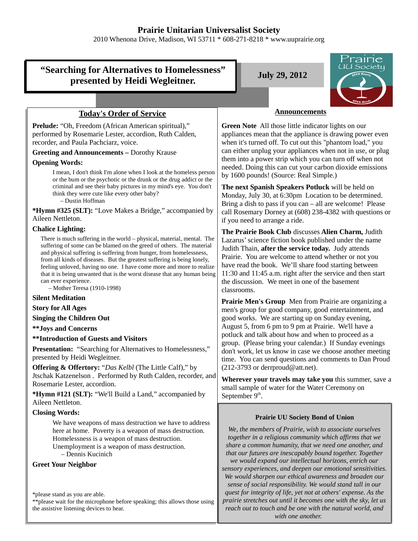# **Prairie Unitarian Universalist Society**

2010 Whenona Drive, Madison, WI 53711 \* 608-271-8218 \* www.uuprairie.org

# **"Searching for Alternatives to Homelessness"** presented by Heidi Wegleitner.<br>**July 29, 2012**



### **Today's Order of Service**

**Prelude:** "Oh, Freedom (African American spiritual)," performed by Rosemarie Lester, accordion, Ruth Calden, recorder, and Paula Pachciarz, voice.

#### **Greeting and Announcements –** Dorothy Krause

#### **Opening Words:**

I mean, I don't think I'm alone when I look at the homeless person or the bum or the psychotic or the drunk or the drug addict or the criminal and see their baby pictures in my mind's eye. You don't think they were cute like every other baby?

– Dustin Hoffman

**\*Hymn #325 (SLT):** "Love Makes a Bridge," accompanied by Aileen Nettleton.

#### **Chalice Lighting:**

There is much suffering in the world – physical, material, mental. The suffering of some can be blamed on the greed of others. The material and physical suffering is suffering from hunger, from homelessness, from all kinds of diseases. But the greatest suffering is being lonely, feeling unloved, having no one. I have come more and more to realize that it is being unwanted that is the worst disease that any human being can ever experience.

– Mother Teresa (1910-1998)

#### **Silent Meditation**

**Story for All Ages**

**Singing the Children Out**

**\*\*Joys and Concerns**

**\*\*Introduction of Guests and Visitors**

**Presentation:** "Searching for Alternatives to Homelessness," presented by Heidi Wegleitner.

**Offering & Offertory:** "*Das Kelbl* (The Little Calf)," by Jtschak Katzenelson . Performed by Ruth Calden, recorder, and Rosemarie Lester, accordion.

**\*Hymn #121 (SLT):** "We'll Build a Land," accompanied by Aileen Nettleton.

#### **Closing Words:**

We have weapons of mass destruction we have to address here at home. Poverty is a weapon of mass destruction. Homelessness is a weapon of mass destruction. Unemployment is a weapon of mass destruction.

– Dennis Kucinich

#### **Greet Your Neighbor**

\*please stand as you are able.

\*\*please wait for the microphone before speaking; this allows those using the assistive listening devices to hear.

#### **Announcements**

**Green Note** All those little indicator lights on our appliances mean that the appliance is drawing power even when it's turned off. To cut out this "phantom load," you can either unplug your appliances when not in use, or plug them into a power strip which you can turn off when not needed. Doing this can cut your carbon dioxide emissions by 1600 pounds! (Source: Real Simple.)

**The next Spanish Speakers Potluck** will be held on Monday, July 30, at 6:30pm Location to be determined. Bring a dish to pass if you can – all are welcome! Please call Rosemary Dorney at (608) 238-4382 with questions or if you need to arrange a ride.

**The Prairie Book Club** discusses **Alien Charm,** Judith Lazarus' science fiction book published under the name Judith Thain, **after the service today.** Judy attends Prairie. You are welcome to attend whether or not you have read the book. We'll share food starting between 11:30 and 11:45 a.m. right after the service and then start the discussion. We meet in one of the basement classrooms.

**Prairie Men's Group** Men from Prairie are organizing a men's group for good company, good entertainment, and good works. We are starting up on Sunday evening, August 5, from 6 pm to 9 pm at Prairie. We'll have a potluck and talk about how and when to proceed as a group. (Please bring your calendar.) If Sunday evenings don't work, let us know in case we choose another meeting time. You can send questions and comments to Dan Proud  $(212-3793 \text{ or derrproud} \omega \text{ at } t \text{.net}).$ 

**Wherever your travels may take you** this summer, save a small sample of water for the Water Ceremony on September  $9<sup>th</sup>$ .

#### **Prairie UU Society Bond of Union**

*We, the members of Prairie, wish to associate ourselves together in a religious community which affirms that we share a common humanity, that we need one another, and that our futures are inescapably bound together. Together we would expand our intellectual horizons, enrich our sensory experiences, and deepen our emotional sensitivities. We would sharpen our ethical awareness and broaden our sense of social responsibility. We would stand tall in our quest for integrity of life, yet not at others' expense. As the prairie stretches out until it becomes one with the sky, let us reach out to touch and be one with the natural world, and with one another.*